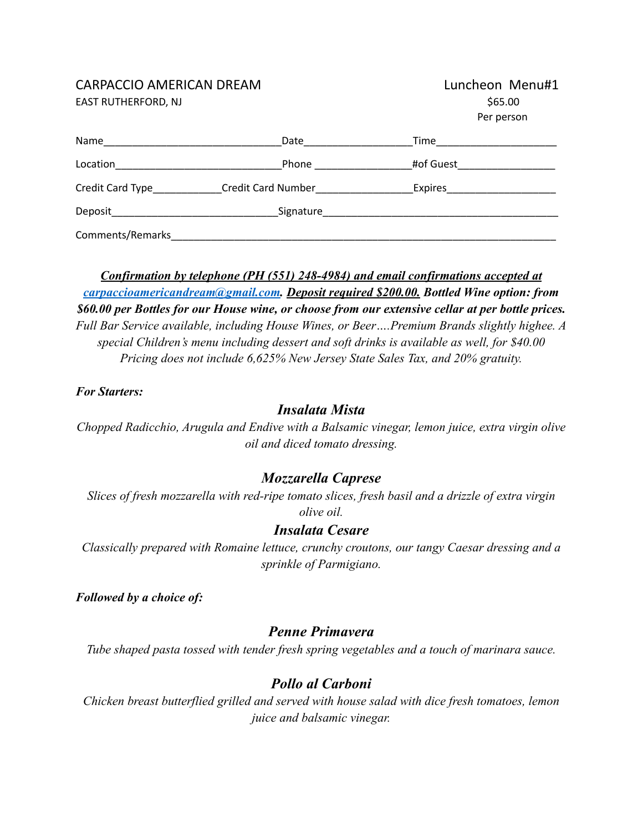### CARPACCIO AMERICAN DREAM

EAST RUTHERFORD, NJ

| Luncheon Menu#1 |  |  |  |
|-----------------|--|--|--|
| \$65.00         |  |  |  |
| Per person      |  |  |  |

| Name                                                           | Date                      | Time      |  |
|----------------------------------------------------------------|---------------------------|-----------|--|
| Location<br><u> 1980 - Jan Barbara Barbara, manazarta da k</u> | Phone                     | #of Guest |  |
| Credit Card Type<br><u>Lettice</u>                             | <b>Credit Card Number</b> | Expires   |  |
| Deposit                                                        | Signature                 |           |  |
| Comments/Remarks                                               |                           |           |  |

*Confirmation by telephone (PH (551) 248-4984) and email confirmations accepted at [carpaccioamericandream@gmail.com](mailto:carpaccioamericandream@gmail.com). Deposit required \$200.00. Bottled Wine option: from \$60.00 per Bottles for our House wine, or choose from our extensive cellar at per bottle prices. Full Bar Service available, including House Wines, or Beer….Premium Brands slightly highee. A special Children's menu including dessert and soft drinks is available as well, for \$40.00 Pricing does not include 6,625% New Jersey State Sales Tax, and 20% gratuity.*

#### *For Starters:*

### *Insalata Mista*

*Chopped Radicchio, Arugula and Endive with a Balsamic vinegar, lemon juice, extra virgin olive oil and diced tomato dressing.*

### *Mozzarella Caprese*

*Slices of fresh mozzarella with red-ripe tomato slices, fresh basil and a drizzle of extra virgin olive oil.*

### *Insalata Cesare*

*Classically prepared with Romaine lettuce, crunchy croutons, our tangy Caesar dressing and a sprinkle of Parmigiano.*

*Followed by a choice of:*

### *Penne Primavera*

*Tube shaped pasta tossed with tender fresh spring vegetables and a touch of marinara sauce.*

## *Pollo al Carboni*

*Chicken breast butterflied grilled and served with house salad with dice fresh tomatoes, lemon juice and balsamic vinegar.*